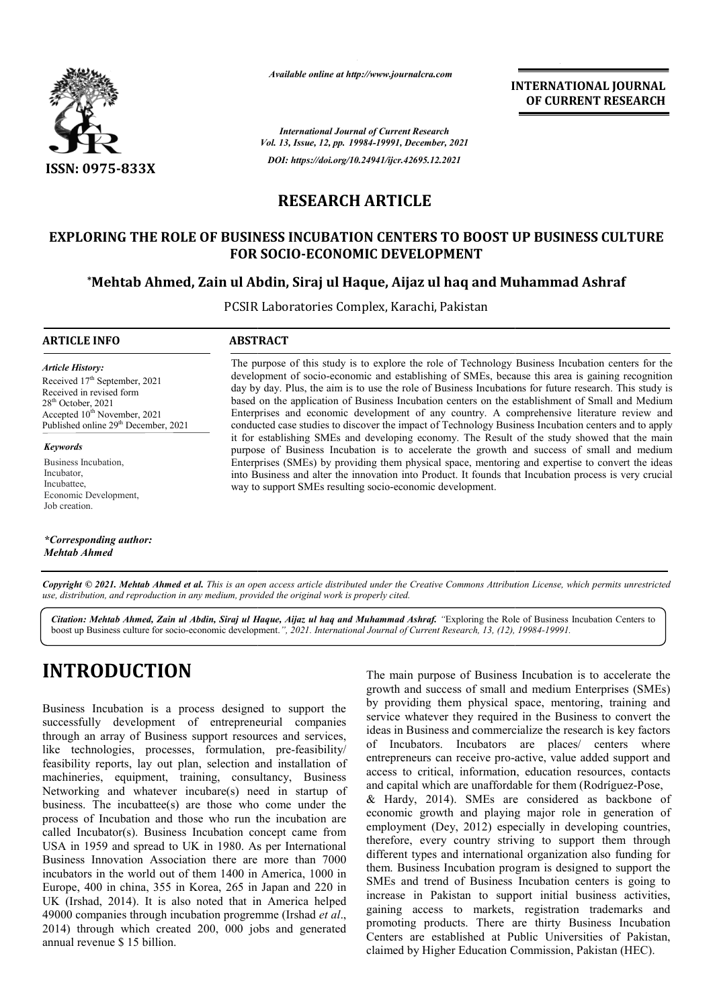

*Available online at http://www.journalcra.com*

**INTERNATIONAL JOURNAL OF CURRENT RESEARCH**

*International Journal of Current Research Vol. 13, Issue, 12, pp. 19984-19991, December, 2021 DOI: https://doi.org/10.24941/ijcr.42695.12.2021*

# **RESEARCH ARTICLE**

# **EXPLORING THE ROLE OF BUSINESS INCUBATION CENTERS TO BOOST UP BUSINESS CULTURE FOR SOCIO SOCIO-ECONOMIC DEVELOPMENT**

## **\*Mehtab Ahmed, Zain ul Abdin, Siraj ul Haque, Aijaz ul haq and Muhammad Ashraf Mehtab Mehtab Siraj ul Muhammad**

PCSIR Laboratories Complex, Karachi, Pakistan

#### **ARTICLE INFO ABSTRACT**

*Article History: Article History:* Received 17<sup>th</sup> September, 2021 Received in revised form Received in revised form Received in revised form  $28<sup>th</sup>$  October, 2021 Accepted  $10^{\text{th}}$  November, 2021 Published online 29<sup>th</sup> December, 2021

*Keywords* Business Incubation, Incubator, Incubattee, Economic Development, Job creation.

*\*Corresponding author: Mehtab Ahmed*

The purpose of this study is to explore the role of Technology Business Incubation centers for the The purpose of this study is to explore the role of Technology Business Incubation centers for the development of socio-economic and establishing of SMEs, because this area is gaining recognition day by day. Plus, the aim is to use the role of Business Incubations for future research. This study is based on the application of Business Incubation centers on the establishment of Small and Medium Enterprises and economic development of any country. A comprehensive literature review and conducted case studies to discover the impact of Technology Business Incubation centers and to apply it for establishing SMEs and developing economy. The Result of the study showed that the main purpose of Business Incubation is to accelerate the growth and success of small and medium Enterprises (SMEs) by providing them physical space, mentoring and expertise to convert the ideas into Business and alter the innovation into Product. It founds that Incubation process is very crucial way to support SMEs resulting socio-economic development. y by day. Plus, the aim is to use the role of Business Incubations for future research. This study is sed on the application of Business Incubation centers on the establishment of Small and Medium tterprises and economic d

Copyright © 2021. Mehtab Ahmed et al. This is an open access article distributed under the Creative Commons Attribution License, which permits unrestricted *use, distribution, and reproduction in any medium, provided the original work is properly cited.*

Citation: Mehtab Ahmed, Zain ul Abdin, Siraj ul Haque, Aijaz ul haq and Muhammad Ashraf. "Exploring the Role of Business Incubation Centers to boost up Business culture for socio-economic development.", 2021. International Journal of Current Research, 13, (12), 19984-19991.

# **INTRODUCTION**

Business Incubation is a process designed to support the successfully development of entrepreneurial companies through an array of Business support resources and services, like technologies, processes, formulation, pre-feasibility/ feasibility reports, lay out plan, selection and installation of machineries, equipment, training, consultancy, Business machineries, equipment, training, consultancy, Business<br>Networking and whatever incubare(s) need in startup of business. The incubattee(s) are those who come under the process of Incubation and those who run the incubation are called Incubator(s). Business Incubation concept came from USA in 1959 and spread to UK in 1980. As per International Business Innovation Association there are more than 7000 incubators in the world out of them 1400 in America, 1000 in Europe, 400 in china, 355 in Korea, 265 in Japan and 220 in UK (Irshad, 2014). It is also noted that in America helped 49000 companies through incubation progremme (Irshad *et al*., 2014) through which created 200, 000 jobs and generated annual revenue \$ 15 billion.

The main purpose of Business Incubation is to accelerate the growth and success of small and medium Enterprises (SMEs) by providing them physical space, mentoring, training and service whatever they required in the Business to convert the ideas in Business and commercialize the research is key factors of Incubators. Incubators are places/ centers where entrepreneurs can receive pro-active, value added support and access to critical, information, education resources, contacts and capital which are unaffordable for them ( & Hardy, 2014). SMEs are considered as backbone of economic growth and playing major role in generation of employment (Dey, 2012) especially in developing countries, therefore, every country striving to support them through different types and international organization also funding for them. Business Incubation program is designed to support the SMEs and trend of Business Incubation centers is going to increase in Pakistan to support initial business activities, gaining access to markets, registration trademarks and promoting products. There are thirty Business Incubation Centers are established at Public Universities of Pakistan, claimed by Higher Education Commission, Pakistan (HEC). wth and success of small and medium Enterprises (SMEs)<br>providing them physical space, mentoring, training and<br>vice whatever they required in the Business to convert the<br>as in Business and commercialize the research is key **EXERVIT CONSTRANT CONSTRANT CONSTRANT CONSTRANT OF CONSTRANT INTERNATION CONSTRANT INTERNATION CONSTRANT INTERNATION CONSTRANT CONSTRANT CONSTRANT CONSTRANT CONSTRANT CONSTRANT CONSTRANT CONSTRANT CONSTRANT CONSTRANT CONS**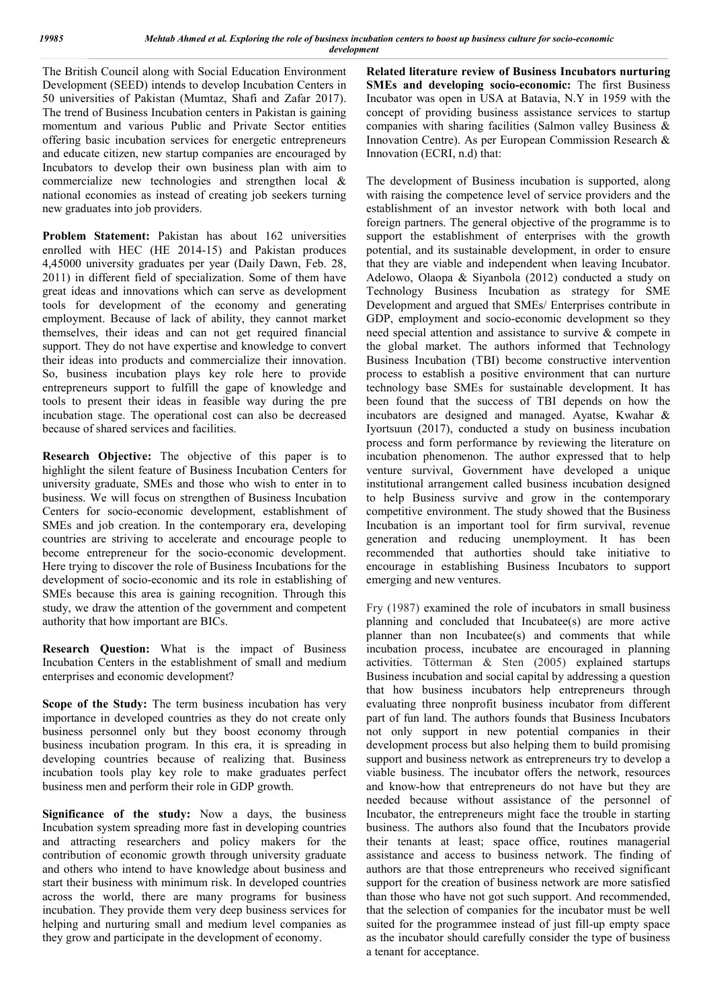The British Council along with Social Education Environment Development (SEED) intends to develop Incubation Centers in 50 universities of Pakistan (Mumtaz, Shafi and Zafar 2017). The trend of Business Incubation centers in Pakistan is gaining momentum and various Public and Private Sector entities offering basic incubation services for energetic entrepreneurs and educate citizen, new startup companies are encouraged by Incubators to develop their own business plan with aim to commercialize new technologies and strengthen local & national economies as instead of creating job seekers turning new graduates into job providers.

**Problem Statement:** Pakistan has about 162 universities enrolled with HEC (HE 2014-15) and Pakistan produces 4,45000 university graduates per year (Daily Dawn, Feb. 28, 2011) in different field of specialization. Some of them have great ideas and innovations which can serve as development tools for development of the economy and generating employment. Because of lack of ability, they cannot market themselves, their ideas and can not get required financial support. They do not have expertise and knowledge to convert their ideas into products and commercialize their innovation. So, business incubation plays key role here to provide entrepreneurs support to fulfill the gape of knowledge and tools to present their ideas in feasible way during the pre incubation stage. The operational cost can also be decreased because of shared services and facilities.

**Research Objective:** The objective of this paper is to highlight the silent feature of Business Incubation Centers for university graduate, SMEs and those who wish to enter in to business. We will focus on strengthen of Business Incubation Centers for socio-economic development, establishment of SMEs and job creation. In the contemporary era, developing countries are striving to accelerate and encourage people to become entrepreneur for the socio-economic development. Here trying to discover the role of Business Incubations for the development of socio-economic and its role in establishing of SMEs because this area is gaining recognition. Through this study, we draw the attention of the government and competent authority that how important are BICs.

**Research Question:** What is the impact of Business Incubation Centers in the establishment of small and medium enterprises and economic development?

**Scope of the Study:** The term business incubation has very importance in developed countries as they do not create only business personnel only but they boost economy through business incubation program. In this era, it is spreading in developing countries because of realizing that. Business incubation tools play key role to make graduates perfect business men and perform their role in GDP growth.

**Significance of the study:** Now a days, the business Incubation system spreading more fast in developing countries and attracting researchers and policy makers for the contribution of economic growth through university graduate and others who intend to have knowledge about business and start their business with minimum risk. In developed countries across the world, there are many programs for business incubation. They provide them very deep business services for helping and nurturing small and medium level companies as they grow and participate in the development of economy.

**Related literature review of Business Incubators nurturing SMEs and developing socio-economic:** The first Business Incubator was open in USA at Batavia, N.Y in 1959 with the concept of providing business assistance services to startup companies with sharing facilities (Salmon valley Business & Innovation Centre). As per European Commission Research & Innovation (ECRI, n.d) that:

The development of Business incubation is supported, along with raising the competence level of service providers and the establishment of an investor network with both local and foreign partners. The general objective of the programme is to support the establishment of enterprises with the growth potential, and its sustainable development, in order to ensure that they are viable and independent when leaving Incubator. Adelowo, Olaopa & Siyanbola (2012) conducted a study on Technology Business Incubation as strategy for SME Development and argued that SMEs/ Enterprises contribute in GDP, employment and socio-economic development so they need special attention and assistance to survive & compete in the global market. The authors informed that Technology Business Incubation (TBI) become constructive intervention process to establish a positive environment that can nurture technology base SMEs for sustainable development. It has been found that the success of TBI depends on how the incubators are designed and managed. Ayatse, Kwahar & Iyortsuun (2017), conducted a study on business incubation process and form performance by reviewing the literature on incubation phenomenon. The author expressed that to help venture survival, Government have developed a unique institutional arrangement called business incubation designed to help Business survive and grow in the contemporary competitive environment. The study showed that the Business Incubation is an important tool for firm survival, revenue generation and reducing unemployment. It has been recommended that authorties should take initiative to encourage in establishing Business Incubators to support emerging and new ventures.

Fry (1987) examined the role of incubators in small business planning and concluded that Incubatee(s) are more active planner than non Incubatee(s) and comments that while incubation process, incubatee are encouraged in planning activities. Tötterman & Sten (2005) explained startups Business incubation and social capital by addressing a question that how business incubators help entrepreneurs through evaluating three nonprofit business incubator from different part of fun land. The authors founds that Business Incubators not only support in new potential companies in their development process but also helping them to build promising support and business network as entrepreneurs try to develop a viable business. The incubator offers the network, resources and know-how that entrepreneurs do not have but they are needed because without assistance of the personnel of Incubator, the entrepreneurs might face the trouble in starting business. The authors also found that the Incubators provide their tenants at least; space office, routines managerial assistance and access to business network. The finding of authors are that those entrepreneurs who received significant support for the creation of business network are more satisfied than those who have not got such support. And recommended, that the selection of companies for the incubator must be well suited for the programmee instead of just fill-up empty space as the incubator should carefully consider the type of business a tenant for acceptance.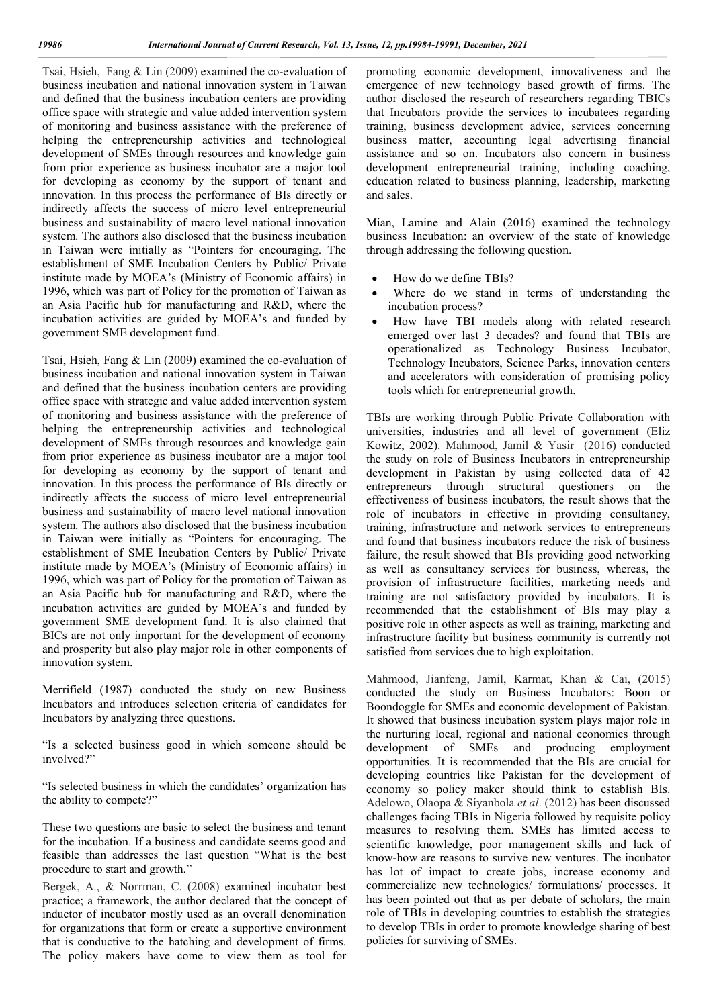Tsai, Hsieh, Fang & Lin (2009) examined the co-evaluation of business incubation and national innovation system in Taiwan and defined that the business incubation centers are providing office space with strategic and value added intervention system of monitoring and business assistance with the preference of helping the entrepreneurship activities and technological development of SMEs through resources and knowledge gain from prior experience as business incubator are a major tool for developing as economy by the support of tenant and innovation. In this process the performance of BIs directly or indirectly affects the success of micro level entrepreneurial business and sustainability of macro level national innovation system. The authors also disclosed that the business incubation in Taiwan were initially as "Pointers for encouraging. The establishment of SME Incubation Centers by Public/ Private institute made by MOEA's (Ministry of Economic affairs) in 1996, which was part of Policy for the promotion of Taiwan as an Asia Pacific hub for manufacturing and R&D, where the incubation activities are guided by MOEA's and funded by government SME development fund.

Tsai, Hsieh, Fang & Lin (2009) examined the co-evaluation of business incubation and national innovation system in Taiwan and defined that the business incubation centers are providing office space with strategic and value added intervention system of monitoring and business assistance with the preference of helping the entrepreneurship activities and technological development of SMEs through resources and knowledge gain from prior experience as business incubator are a major tool for developing as economy by the support of tenant and innovation. In this process the performance of BIs directly or indirectly affects the success of micro level entrepreneurial business and sustainability of macro level national innovation system. The authors also disclosed that the business incubation in Taiwan were initially as "Pointers for encouraging. The establishment of SME Incubation Centers by Public/ Private institute made by MOEA's (Ministry of Economic affairs) in 1996, which was part of Policy for the promotion of Taiwan as an Asia Pacific hub for manufacturing and R&D, where the incubation activities are guided by MOEA's and funded by government SME development fund. It is also claimed that BICs are not only important for the development of economy and prosperity but also play major role in other components of innovation system.

Merrifield (1987) conducted the study on new Business Incubators and introduces selection criteria of candidates for Incubators by analyzing three questions.

"Is a selected business good in which someone should be involved?"

"Is selected business in which the candidates' organization has the ability to compete?"

These two questions are basic to select the business and tenant for the incubation. If a business and candidate seems good and feasible than addresses the last question "What is the best procedure to start and growth."

Bergek, A., & Norrman, C. (2008) examined incubator best practice; a framework, the author declared that the concept of inductor of incubator mostly used as an overall denomination for organizations that form or create a supportive environment that is conductive to the hatching and development of firms. The policy makers have come to view them as tool for

promoting economic development, innovativeness and the emergence of new technology based growth of firms. The author disclosed the research of researchers regarding TBICs that Incubators provide the services to incubatees regarding training, business development advice, services concerning business matter, accounting legal advertising financial assistance and so on. Incubators also concern in business development entrepreneurial training, including coaching, education related to business planning, leadership, marketing and sales.

Mian, Lamine and Alain (2016) examined the technology business Incubation: an overview of the state of knowledge through addressing the following question.

- How do we define TBIs?
- Where do we stand in terms of understanding the incubation process?
- How have TBI models along with related research emerged over last 3 decades? and found that TBIs are operationalized as Technology Business Incubator, Technology Incubators, Science Parks, innovation centers and accelerators with consideration of promising policy tools which for entrepreneurial growth.

TBIs are working through Public Private Collaboration with universities, industries and all level of government (Eliz Kowitz, 2002). Mahmood, Jamil & Yasir (2016) conducted the study on role of Business Incubators in entrepreneurship development in Pakistan by using collected data of 42 entrepreneurs through structural questioners on the effectiveness of business incubators, the result shows that the role of incubators in effective in providing consultancy, training, infrastructure and network services to entrepreneurs and found that business incubators reduce the risk of business failure, the result showed that BIs providing good networking as well as consultancy services for business, whereas, the provision of infrastructure facilities, marketing needs and training are not satisfactory provided by incubators. It is recommended that the establishment of BIs may play a positive role in other aspects as well as training, marketing and infrastructure facility but business community is currently not satisfied from services due to high exploitation.

Mahmood, Jianfeng, Jamil, Karmat, Khan & Cai, (2015) conducted the study on Business Incubators: Boon or Boondoggle for SMEs and economic development of Pakistan. It showed that business incubation system plays major role in the nurturing local, regional and national economies through development of SMEs and producing employment opportunities. It is recommended that the BIs are crucial for developing countries like Pakistan for the development of economy so policy maker should think to establish BIs. Adelowo, Olaopa & Siyanbola *et al*. (2012) has been discussed challenges facing TBIs in Nigeria followed by requisite policy measures to resolving them. SMEs has limited access to scientific knowledge, poor management skills and lack of know-how are reasons to survive new ventures. The incubator has lot of impact to create jobs, increase economy and commercialize new technologies/ formulations/ processes. It has been pointed out that as per debate of scholars, the main role of TBIs in developing countries to establish the strategies to develop TBIs in order to promote knowledge sharing of best policies for surviving of SMEs.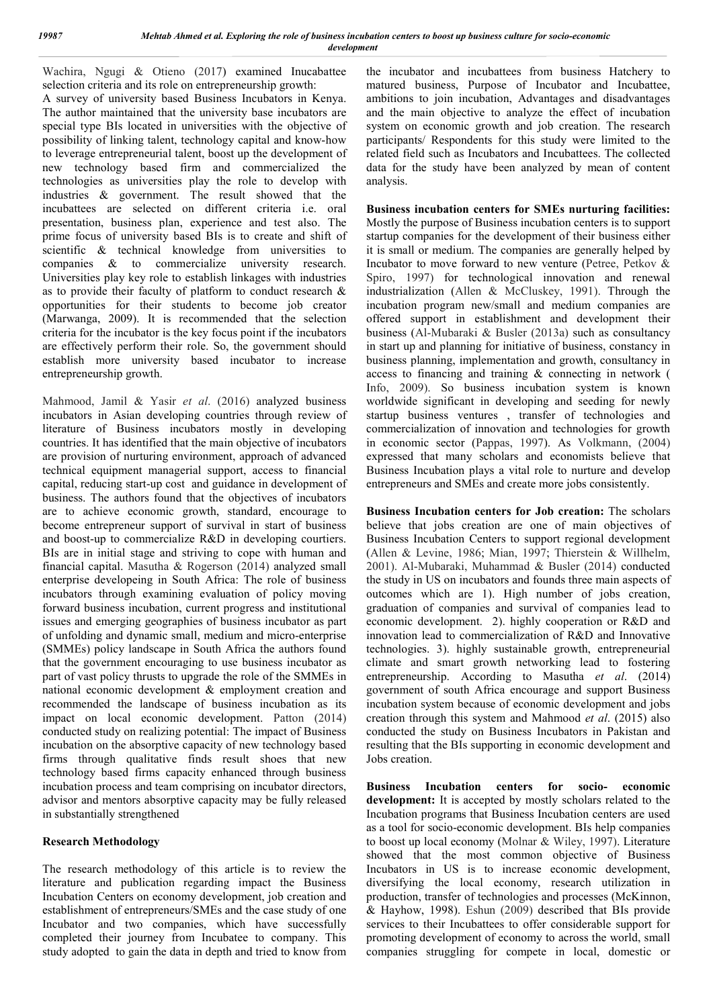*19987 Mehtab Ahmed et al. Exploring the role of business incubation centers to boost up business culture for socio-economic development*

Wachira, Ngugi & Otieno (2017) examined Inucabattee selection criteria and its role on entrepreneurship growth:

A survey of university based Business Incubators in Kenya. The author maintained that the university base incubators are special type BIs located in universities with the objective of possibility of linking talent, technology capital and know-how to leverage entrepreneurial talent, boost up the development of new technology based firm and commercialized the technologies as universities play the role to develop with industries & government. The result showed that the incubattees are selected on different criteria i.e. oral presentation, business plan, experience and test also. The prime focus of university based BIs is to create and shift of scientific & technical knowledge from universities to companies & to commercialize university research. Universities play key role to establish linkages with industries as to provide their faculty of platform to conduct research & opportunities for their students to become job creator (Marwanga, 2009). It is recommended that the selection criteria for the incubator is the key focus point if the incubators are effectively perform their role. So, the government should establish more university based incubator to increase entrepreneurship growth.

Mahmood, Jamil & Yasir *et al*. (2016) analyzed business incubators in Asian developing countries through review of literature of Business incubators mostly in developing countries. It has identified that the main objective of incubators are provision of nurturing environment, approach of advanced technical equipment managerial support, access to financial capital, reducing start-up cost and guidance in development of business. The authors found that the objectives of incubators are to achieve economic growth, standard, encourage to become entrepreneur support of survival in start of business and boost-up to commercialize R&D in developing courtiers. BIs are in initial stage and striving to cope with human and financial capital. Masutha & Rogerson (2014) analyzed small enterprise developeing in South Africa: The role of business incubators through examining evaluation of policy moving forward business incubation, current progress and institutional issues and emerging geographies of business incubator as part of unfolding and dynamic small, medium and micro-enterprise (SMMEs) policy landscape in South Africa the authors found that the government encouraging to use business incubator as part of vast policy thrusts to upgrade the role of the SMMEs in national economic development & employment creation and recommended the landscape of business incubation as its impact on local economic development. Patton (2014) conducted study on realizing potential: The impact of Business incubation on the absorptive capacity of new technology based firms through qualitative finds result shoes that new technology based firms capacity enhanced through business incubation process and team comprising on incubator directors, advisor and mentors absorptive capacity may be fully released in substantially strengthened

#### **Research Methodology**

The research methodology of this article is to review the literature and publication regarding impact the Business Incubation Centers on economy development, job creation and establishment of entrepreneurs/SMEs and the case study of one Incubator and two companies, which have successfully completed their journey from Incubatee to company. This study adopted to gain the data in depth and tried to know from

the incubator and incubattees from business Hatchery to matured business, Purpose of Incubator and Incubattee, ambitions to join incubation, Advantages and disadvantages and the main objective to analyze the effect of incubation system on economic growth and job creation. The research participants/ Respondents for this study were limited to the related field such as Incubators and Incubattees. The collected data for the study have been analyzed by mean of content analysis.

**Business incubation centers for SMEs nurturing facilities:**  Mostly the purpose of Business incubation centers is to support startup companies for the development of their business either it is small or medium. The companies are generally helped by Incubator to move forward to new venture (Petree, Petkov & Spiro, 1997) for technological innovation and renewal industrialization (Allen & McCluskey, 1991). Through the incubation program new/small and medium companies are offered support in establishment and development their business (Al-Mubaraki & Busler (2013a) such as consultancy in start up and planning for initiative of business, constancy in business planning, implementation and growth, consultancy in access to financing and training & connecting in network ( Info, 2009). So business incubation system is known worldwide significant in developing and seeding for newly startup business ventures , transfer of technologies and commercialization of innovation and technologies for growth in economic sector (Pappas, 1997). As Volkmann, (2004) expressed that many scholars and economists believe that Business Incubation plays a vital role to nurture and develop entrepreneurs and SMEs and create more jobs consistently.

**Business Incubation centers for Job creation:** The scholars believe that jobs creation are one of main objectives of Business Incubation Centers to support regional development (Allen & Levine, 1986; Mian, 1997; Thierstein & Willhelm, 2001). Al-Mubaraki, Muhammad & Busler (2014) conducted the study in US on incubators and founds three main aspects of outcomes which are 1). High number of jobs creation, graduation of companies and survival of companies lead to economic development. 2). highly cooperation or R&D and innovation lead to commercialization of R&D and Innovative technologies. 3). highly sustainable growth, entrepreneurial climate and smart growth networking lead to fostering entrepreneurship. According to Masutha *et al*. (2014) government of south Africa encourage and support Business incubation system because of economic development and jobs creation through this system and Mahmood *et al*. (2015) also conducted the study on Business Incubators in Pakistan and resulting that the BIs supporting in economic development and Jobs creation.

**Business Incubation centers for socio- economic development:** It is accepted by mostly scholars related to the Incubation programs that Business Incubation centers are used as a tool for socio-economic development. BIs help companies to boost up local economy (Molnar & Wiley, 1997). Literature showed that the most common objective of Business Incubators in US is to increase economic development, diversifying the local economy, research utilization in production, transfer of technologies and processes (McKinnon, & Hayhow, 1998). Eshun (2009) described that BIs provide services to their Incubattees to offer considerable support for promoting development of economy to across the world, small companies struggling for compete in local, domestic or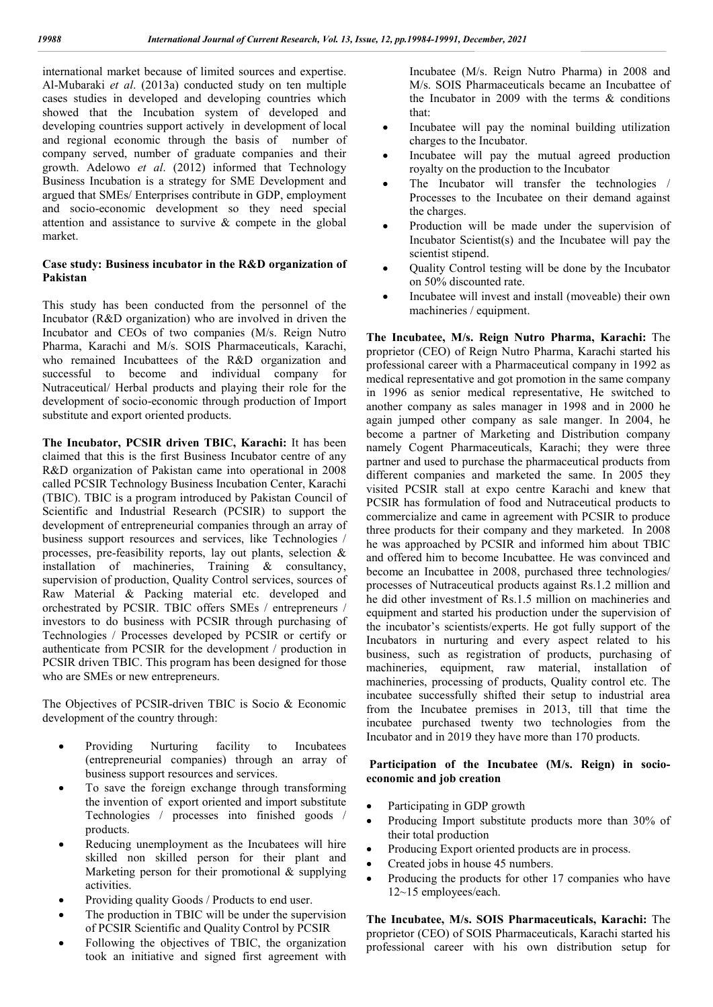international market because of limited sources and expertise. Al-Mubaraki *et al*. (2013a) conducted study on ten multiple cases studies in developed and developing countries which showed that the Incubation system of developed and developing countries support actively in development of local and regional economic through the basis of number of company served, number of graduate companies and their growth. Adelowo *et al*. (2012) informed that Technology Business Incubation is a strategy for SME Development and argued that SMEs/ Enterprises contribute in GDP, employment and socio-economic development so they need special attention and assistance to survive & compete in the global market.

#### **Case study: Business incubator in the R&D organization of Pakistan**

This study has been conducted from the personnel of the Incubator (R&D organization) who are involved in driven the Incubator and CEOs of two companies (M/s. Reign Nutro Pharma, Karachi and M/s. SOIS Pharmaceuticals, Karachi, who remained Incubattees of the R&D organization and successful to become and individual company for Nutraceutical/ Herbal products and playing their role for the development of socio-economic through production of Import substitute and export oriented products.

**The Incubator, PCSIR driven TBIC, Karachi:** It has been claimed that this is the first Business Incubator centre of any R&D organization of Pakistan came into operational in 2008 called PCSIR Technology Business Incubation Center, Karachi (TBIC). TBIC is a program introduced by Pakistan Council of Scientific and Industrial Research (PCSIR) to support the development of entrepreneurial companies through an array of business support resources and services, like Technologies / processes, pre-feasibility reports, lay out plants, selection & installation of machineries, Training & consultancy, supervision of production, Quality Control services, sources of Raw Material & Packing material etc. developed and orchestrated by PCSIR. TBIC offers SMEs / entrepreneurs / investors to do business with PCSIR through purchasing of Technologies / Processes developed by PCSIR or certify or authenticate from PCSIR for the development / production in PCSIR driven TBIC. This program has been designed for those who are SMEs or new entrepreneurs.

The Objectives of PCSIR-driven TBIC is Socio & Economic development of the country through:

- Providing Nurturing facility to Incubatees (entrepreneurial companies) through an array of business support resources and services.
- To save the foreign exchange through transforming the invention of export oriented and import substitute Technologies / processes into finished goods / products.
- Reducing unemployment as the Incubatees will hire skilled non skilled person for their plant and Marketing person for their promotional & supplying activities.
- Providing quality Goods / Products to end user.
- The production in TBIC will be under the supervision of PCSIR Scientific and Quality Control by PCSIR
- Following the objectives of TBIC, the organization took an initiative and signed first agreement with

Incubatee (M/s. Reign Nutro Pharma) in 2008 and M/s. SOIS Pharmaceuticals became an Incubattee of the Incubator in 2009 with the terms & conditions that:

- Incubatee will pay the nominal building utilization charges to the Incubator.
- Incubatee will pay the mutual agreed production royalty on the production to the Incubator
- The Incubator will transfer the technologies / Processes to the Incubatee on their demand against the charges.
- Production will be made under the supervision of Incubator Scientist(s) and the Incubatee will pay the scientist stipend.
- Quality Control testing will be done by the Incubator on 50% discounted rate.
- Incubatee will invest and install (moveable) their own machineries / equipment.

**The Incubatee, M/s. Reign Nutro Pharma, Karachi:** The proprietor (CEO) of Reign Nutro Pharma, Karachi started his professional career with a Pharmaceutical company in 1992 as medical representative and got promotion in the same company in 1996 as senior medical representative, He switched to another company as sales manager in 1998 and in 2000 he again jumped other company as sale manger. In 2004, he become a partner of Marketing and Distribution company namely Cogent Pharmaceuticals, Karachi; they were three partner and used to purchase the pharmaceutical products from different companies and marketed the same. In 2005 they visited PCSIR stall at expo centre Karachi and knew that PCSIR has formulation of food and Nutraceutical products to commercialize and came in agreement with PCSIR to produce three products for their company and they marketed. In 2008 he was approached by PCSIR and informed him about TBIC and offered him to become Incubattee. He was convinced and become an Incubattee in 2008, purchased three technologies/ processes of Nutraceutical products against Rs.1.2 million and he did other investment of Rs.1.5 million on machineries and equipment and started his production under the supervision of the incubator's scientists/experts. He got fully support of the Incubators in nurturing and every aspect related to his business, such as registration of products, purchasing of machineries, equipment, raw material, installation of machineries, processing of products, Quality control etc. The incubatee successfully shifted their setup to industrial area from the Incubatee premises in 2013, till that time the incubatee purchased twenty two technologies from the Incubator and in 2019 they have more than 170 products.

#### **Participation of the Incubatee (M/s. Reign) in socioeconomic and job creation**

- Participating in GDP growth
- Producing Import substitute products more than 30% of their total production
- Producing Export oriented products are in process.
- Created jobs in house 45 numbers.
- Producing the products for other 17 companies who have 12~15 employees/each.

**The Incubatee, M/s. SOIS Pharmaceuticals, Karachi:** The proprietor (CEO) of SOIS Pharmaceuticals, Karachi started his professional career with his own distribution setup for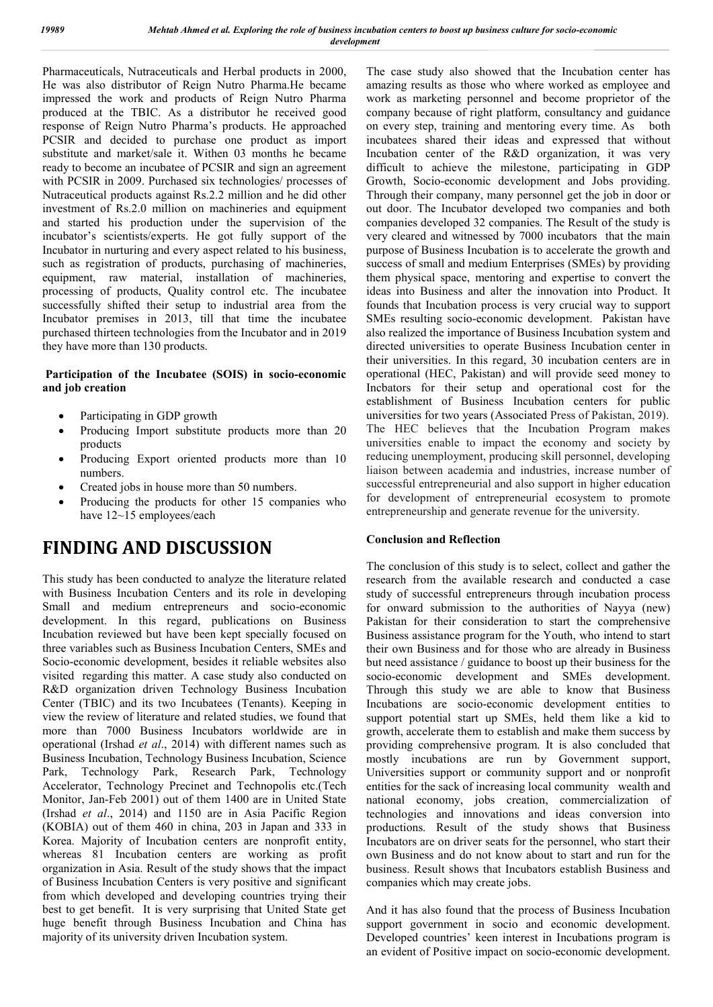Pharmaceuticals, Nutraceuticals and Herbal products in 2000, He was also distributor of Reign Nutro Pharma.He became impressed the work and products of Reign Nutro Pharma produced at the TBIC. As a distributor he received good response of Reign Nutro Pharma's products. He approached PCSIR and decided to purchase one product as import substitute and market/sale it. Withen 03 months he became ready to become an incubatee of PCSIR and sign an agreement with PCSIR in 2009. Purchased six technologies/ processes of Nutraceutical products against Rs.2.2 million and he did other investment of Rs.2.0 million on machineries and equipment and started his production under the supervision of the incubator's scientists/experts. He got fully support of the Incubator in nurturing and every aspect related to his business, such as registration of products, purchasing of machineries, equipment, raw material, installation of machineries, processing of products, Quality control etc. The incubatee successfully shifted their setup to industrial area from the Incubator premises in 2013, till that time the incubatee purchased thirteen technologies from the Incubator and in 2019 they have more than 130 products.

### **Participation of the Incubatee (SOIS) in socio-economic and job creation**

- Participating in GDP growth
- Producing Import substitute products more than 20 products
- Producing Export oriented products more than 10 numbers.
- Created jobs in house more than 50 numbers.
- Producing the products for other 15 companies who have  $12~15$  employees/each

# **FINDING AND DISCUSSION**

This study has been conducted to analyze the literature related with Business Incubation Centers and its role in developing Small and medium entrepreneurs and socio-economic development. In this regard, publications on Business Incubation reviewed but have been kept specially focused on three variables such as Business Incubation Centers, SMEs and Socio-economic development, besides it reliable websites also visited regarding this matter. A case study also conducted on R&D organization driven Technology Business Incubation Center (TBIC) and its two Incubatees (Tenants). Keeping in view the review of literature and related studies, we found that more than 7000 Business Incubators worldwide are in operational (Irshad *et al*., 2014) with different names such as Business Incubation, Technology Business Incubation, Science Park, Technology Park, Research Park, Technology Accelerator, Technology Precinet and Technopolis etc.(Tech Monitor, Jan-Feb 2001) out of them 1400 are in United State (Irshad *et al*., 2014) and 1150 are in Asia Pacific Region (KOBIA) out of them 460 in china, 203 in Japan and 333 in Korea. Majority of Incubation centers are nonprofit entity, whereas 81 Incubation centers are working as profit organization in Asia. Result of the study shows that the impact of Business Incubation Centers is very positive and significant from which developed and developing countries trying their best to get benefit. It is very surprising that United State get huge benefit through Business Incubation and China has majority of its university driven Incubation system.

The case study also showed that the Incubation center has amazing results as those who where worked as employee and work as marketing personnel and become proprietor of the company because of right platform, consultancy and guidance on every step, training and mentoring every time. As both incubatees shared their ideas and expressed that without Incubation center of the R&D organization, it was very difficult to achieve the milestone, participating in GDP Growth, Socio-economic development and Jobs providing. Through their company, many personnel get the job in door or out door. The Incubator developed two companies and both companies developed 32 companies. The Result of the study is very cleared and witnessed by 7000 incubators that the main purpose of Business Incubation is to accelerate the growth and success of small and medium Enterprises (SMEs) by providing them physical space, mentoring and expertise to convert the ideas into Business and alter the innovation into Product. It founds that Incubation process is very crucial way to support SMEs resulting socio-economic development. Pakistan have also realized the importance of Business Incubation system and directed universities to operate Business Incubation center in their universities. In this regard, 30 incubation centers are in operational (HEC, Pakistan) and will provide seed money to Incbators for their setup and operational cost for the establishment of Business Incubation centers for public universities for two years (Associated Press of Pakistan, 2019). The HEC believes that the Incubation Program makes universities enable to impact the economy and society by reducing unemployment, producing skill personnel, developing liaison between academia and industries, increase number of successful entrepreneurial and also support in higher education for development of entrepreneurial ecosystem to promote entrepreneurship and generate revenue for the university.

### **Conclusion and Reflection**

The conclusion of this study is to select, collect and gather the research from the available research and conducted a case study of successful entrepreneurs through incubation process for onward submission to the authorities of Nayya (new) Pakistan for their consideration to start the comprehensive Business assistance program for the Youth, who intend to start their own Business and for those who are already in Business but need assistance / guidance to boost up their business for the socio-economic development and SMEs development. Through this study we are able to know that Business Incubations are socio-economic development entities to support potential start up SMEs, held them like a kid to growth, accelerate them to establish and make them success by providing comprehensive program. It is also concluded that mostly incubations are run by Government support, Universities support or community support and or nonprofit entities for the sack of increasing local community wealth and national economy, jobs creation, commercialization of technologies and innovations and ideas conversion into productions. Result of the study shows that Business Incubators are on driver seats for the personnel, who start their own Business and do not know about to start and run for the business. Result shows that Incubators establish Business and companies which may create jobs.

And it has also found that the process of Business Incubation support government in socio and economic development. Developed countries' keen interest in Incubations program is an evident of Positive impact on socio-economic development.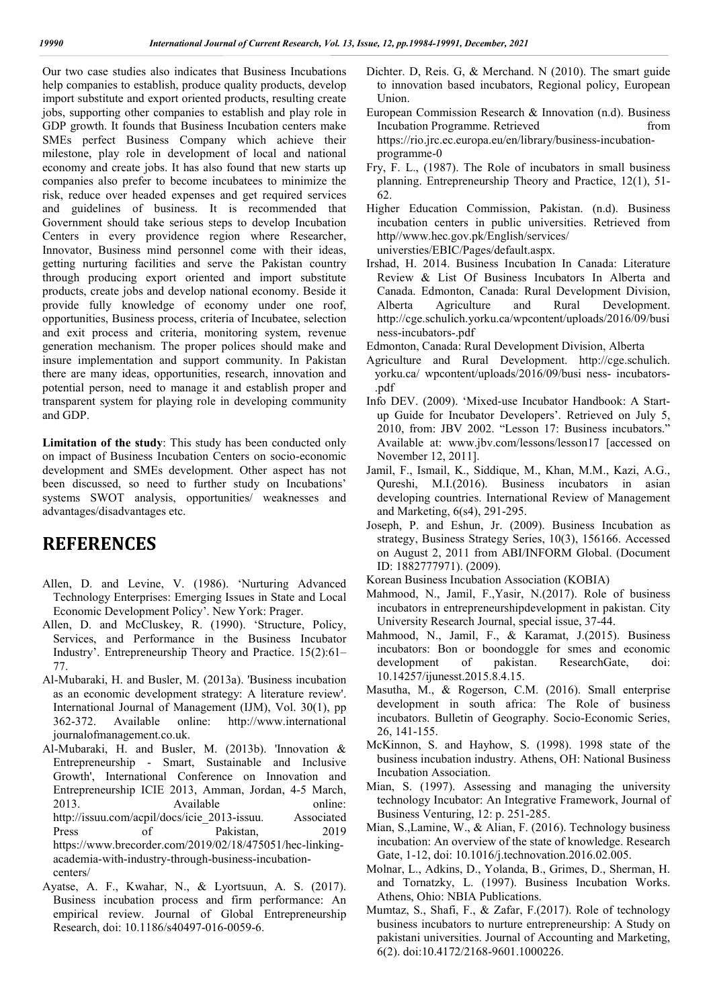Our two case studies also indicates that Business Incubations help companies to establish, produce quality products, develop import substitute and export oriented products, resulting create jobs, supporting other companies to establish and play role in GDP growth. It founds that Business Incubation centers make SMEs perfect Business Company which achieve their milestone, play role in development of local and national economy and create jobs. It has also found that new starts up companies also prefer to become incubatees to minimize the risk, reduce over headed expenses and get required services and guidelines of business. It is recommended that Government should take serious steps to develop Incubation Centers in every providence region where Researcher, Innovator, Business mind personnel come with their ideas, getting nurturing facilities and serve the Pakistan country through producing export oriented and import substitute products, create jobs and develop national economy. Beside it provide fully knowledge of economy under one roof, opportunities, Business process, criteria of Incubatee, selection and exit process and criteria, monitoring system, revenue generation mechanism. The proper polices should make and insure implementation and support community. In Pakistan there are many ideas, opportunities, research, innovation and potential person, need to manage it and establish proper and transparent system for playing role in developing community and GDP.

**Limitation of the study**: This study has been conducted only on impact of Business Incubation Centers on socio-economic development and SMEs development. Other aspect has not been discussed, so need to further study on Incubations' systems SWOT analysis, opportunities/ weaknesses and advantages/disadvantages etc.

# **REFERENCES**

- Allen, D. and Levine, V. (1986). 'Nurturing Advanced Technology Enterprises: Emerging Issues in State and Local Economic Development Policy'. New York: Prager.
- Allen, D. and McCluskey, R. (1990). 'Structure, Policy, Services, and Performance in the Business Incubator Industry'. Entrepreneurship Theory and Practice. 15(2):61– 77.
- Al-Mubaraki, H. and Busler, M. (2013a). 'Business incubation as an economic development strategy: A literature review'. International Journal of Management (IJM), Vol. 30(1), pp 362-372. Available online: http://www.international journalofmanagement.co.uk.
- Al-Mubaraki, H. and Busler, M. (2013b). 'Innovation & Entrepreneurship - Smart, Sustainable and Inclusive Growth', International Conference on Innovation and Entrepreneurship ICIE 2013, Amman, Jordan, 4-5 March, 2013. Available online: http://issuu.com/acpil/docs/icie\_2013-issuu. Associated Press of Pakistan, 2019 https://www.brecorder.com/2019/02/18/475051/hec-linkingacademia-with-industry-through-business-incubationcenters/
- Ayatse, A. F., Kwahar, N., & Lyortsuun, A. S. (2017). Business incubation process and firm performance: An empirical review. Journal of Global Entrepreneurship Research, doi: 10.1186/s40497-016-0059-6.
- Dichter. D, Reis. G, & Merchand. N (2010). The smart guide to innovation based incubators, Regional policy, European Union.
- European Commission Research & Innovation (n.d). Business Incubation Programme. Retrieved from https://rio.jrc.ec.europa.eu/en/library/business-incubationprogramme-0
- Fry, F. L., (1987). The Role of incubators in small business planning. Entrepreneurship Theory and Practice, 12(1), 51- 62.
- Higher Education Commission, Pakistan. (n.d). Business incubation centers in public universities. Retrieved from http//www.hec.gov.pk/English/services/ universties/EBIC/Pages/default.aspx.
- Irshad, H. 2014. Business Incubation In Canada: Literature Review & List Of Business Incubators In Alberta and Canada. Edmonton, Canada: Rural Development Division, Alberta Agriculture and Rural Development. http://cge.schulich.yorku.ca/wpcontent/uploads/2016/09/busi ness-incubators-.pdf
- Edmonton, Canada: Rural Development Division, Alberta
- Agriculture and Rural Development. http://cge.schulich. yorku.ca/ wpcontent/uploads/2016/09/busi ness- incubators- .pdf
- Info DEV. (2009). 'Mixed-use Incubator Handbook: A Startup Guide for Incubator Developers'. Retrieved on July 5, 2010, from: JBV 2002. "Lesson 17: Business incubators." Available at: www.jbv.com/lessons/lesson17 [accessed on November 12, 2011].
- Jamil, F., Ismail, K., Siddique, M., Khan, M.M., Kazi, A.G., Qureshi, M.I.(2016). Business incubators in asian developing countries. International Review of Management and Marketing, 6(s4), 291-295.
- Joseph, P. and Eshun, Jr. (2009). Business Incubation as strategy, Business Strategy Series, 10(3), 156166. Accessed on August 2, 2011 from ABI/INFORM Global. (Document ID: 1882777971). (2009).
- Korean Business Incubation Association (KOBIA)
- Mahmood, N., Jamil, F.,Yasir, N.(2017). Role of business incubators in entrepreneurshipdevelopment in pakistan. City University Research Journal, special issue, 37-44.
- Mahmood, N., Jamil, F., & Karamat, J.(2015). Business incubators: Bon or boondoggle for smes and economic development of pakistan. ResearchGate, doi: 10.14257/ijunesst.2015.8.4.15.
- Masutha, M., & Rogerson, C.M. (2016). Small enterprise development in south africa: The Role of business incubators. Bulletin of Geography. Socio-Economic Series, 26, 141-155.
- McKinnon, S. and Hayhow, S. (1998). 1998 state of the business incubation industry. Athens, OH: National Business Incubation Association.
- Mian, S. (1997). Assessing and managing the university technology Incubator: An Integrative Framework, Journal of Business Venturing, 12: p. 251-285.
- Mian, S.,Lamine, W., & Alian, F. (2016). Technology business incubation: An overview of the state of knowledge. Research Gate, 1-12, doi: 10.1016/j.technovation.2016.02.005.
- Molnar, L., Adkins, D., Yolanda, B., Grimes, D., Sherman, H. and Tornatzky, L. (1997). Business Incubation Works. Athens, Ohio: NBIA Publications.
- Mumtaz, S., Shafi, F., & Zafar, F.(2017). Role of technology business incubators to nurture entrepreneurship: A Study on pakistani universities. Journal of Accounting and Marketing, 6(2). doi:10.4172/2168-9601.1000226.